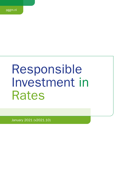# Responsible Investment in Rates

January 2021 (v2021.10)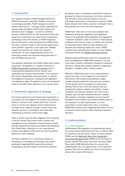# 1. Introduction

As a long-term investor, PGGM Vermogensbeheer B.V. (PGGM Investments, hereinafter PGGM) is committed to investing responsibly. PGGM manages its clients' interest rate products – sovereign bonds; supranational, sub-sovereign and agency (SSA) bonds, interest rate derivatives and mortgages – in order to contribute towards a stable pension for their participants while also taking into consideration the impact these investments are having on the world around us. PGGM recognises that environmental, social, and governance (ESG) factors can have a material impact on the financial performance of the portfolio, especially in the longer term. PGGM's interest rate products are mostly very long-term instruments. As such, integrating ESG issues into investment analysis and decision-making processes is part of PGGM's fiduciary duty.

This guideline addresses how PGGM's Rates team invests responsibly. The guideline is a further refinement of [PGGM's Responsible Investment Framework](https://www.pggm.nl/media/f4zoxray/responsible-investment-implementation-framework_pggm.pdf) and its implementation guidelines and the relevant fund prospectus and ancillary documentation. It is consistent with clients' Responsible Investment policy. In addition, the obligations arising from compliance with legislation and regulations apply. The guideline covers all investments made by the Rates team, effective as of 1 January 2021.

# 2. Investment approach & strategy

The primary objective for the interest rate investments is to provide a low-risk hedge for the interest rate sensitivity present in pension funds' liability structures. Financial return is not the main objective of the investments by the Rates team. However, through a careful instrument selection process it is possible to add value while maintaining an effective interest rate hedge.

There is limited scope for ESG integration when investing in low-risk interest rate products with a primary risk management focus. Examples of these products include AAA and AA government bonds and interest rate derivatives. Still, PGGM Rates' objective is to be a best-practice investor with regards to ESG within the strict boundaries defined for client mandates.

The team's objective is to continuously improve on transparency, knowledge and interaction with market participants regarding ESG issues while positively increasing the societal impact of investment portfolios. By having in place a transparent responsible investment guideline for interest rate products, as further outlined in this document, and by actively taking into account ESG-related performance in investment decisions, PGGM Rates believes that it offers a positive contribution that is best practice and in line with client objectives.

PGGM Rates team aims is to be fully compliant with obligations arising from legislation and regulations. Some of the applicable (ESG) legislation and regulations, or relevant standards, codes of conduct or (inter)national initiatives which have an impact on interest rate products are discussed below. Minimum ESG standards and practices are enhancing rapidly and, hence, PGGM monitors these developments closely. For more detailed information please see [PGGM Investments website.](https://www.pggm.nl/en/our-services/transparency-reports-and-policy-documents/)

Besides implementing client policy and complying with rules and regulations, PGGM Rates believes it can and must make a positive contribution through its investment decisions. Interest rate products represent a significant allocation in PGGM's clients' balance sheets.

Moreover, PGGM Rates sees it as its responsibility to capture the value in and mitigate the risk related to ESG factors. ESG studies bring additional insight, complementing fundamental macroeconomic analysis, into the growth and risk prospects of a debt issuer. Typically, there is only a thin line between ESG and fundamental analysis. However, the addition of oftenoverlooked non-financial indicators can prove to be a valuable input into debt investment decision making. ESG analysis is therefore integrated into the research framework for the interest rate products PGGM invests in. The objective is to seek opportunities, but more importantly, to avoid medium-term risks. In summary, PGGM Rates believes that integrating ESG factors into the investment process leads to better-informed investment decisions.

# 3. Implementation

### 3.a. ESG-integration

PGGM defines ESG integration as systematically taking into account those ESG factors that have a material effect on investment risk and return. Across its entire portfolio PGGM uses the [Materiality Map of the Sustainable](https://www.sasb.org/standards-overview/materiality-map/)  [Accounting Standards Board](https://www.sasb.org/standards-overview/materiality-map/) (SASB) as the framework to identify material ESG issues per sector. Similarly, PGGM Rates takes SASB Materiality Map into account when analysing ESG risks and opportunities in the investment process. ESG risks are defined as risks for the financial returns from material ESG factors.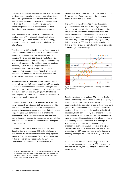The investable universe for PGGM's Rates team is defined by clients. As a general rule, pension fund clients do not include risky government debt issuers in the part of the balance sheet dedicated to hedge the interest rate risk of their liabilities. These investments also serve to preserve capital in times of financial distress, when riskier investment categories tend to underperform.

As a consequence, the investable universe consists of bonds with an AAA or AA credit rating. Credit ratings and ESG ratings of these issuers tend to be strongly correlated, resulting in a universe with relatively high ESG ratings.

The allocation to different debt issuers, governments and SSAs, in the investment mandates of the Rates team is determined through a top-down as well as bottom-up analysis. The team analyses financial markets and the macroeconomic environment to develop an understanding where credit spreads or the yield curve may be heading. Biannually, PGGM Rates thoroughly analyses the fundamental credit drivers of every debt issuer it invests in. This analysis focuses not only on economic developments and structural reforms, but also on ESG factors similar to the SASB Materiality Map.

Sovereign issuers in developed markets tend to exhibit comparatively high ESG scores as well as GDP per capita. The level of indebtedness of developed sovereigns also tends to be higher than that of emerging markets. A heavy debt burden can act as a drag on growth. ESG factors have the power to unlock structural reforms which in turn may act as a catalyst for growth.

In line with PGGM's beliefs, Capelle-Blancard et al. (2017) show that countries with good ESG performance tend to have less default risk and thus lower bond spreads.<sup>1</sup> Moreover, the economic impact is stronger in the long run, suggesting that ESG performance is a long-lasting phenomenon. Social, but primarily governance factors have a financial impact on government bonds according to their research, and this effect happens to be the largest in the euro area.

The team makes use of research by MSCI ESG and Sustainalytics when analysing ESG factors influencing debt issuers. Moreover, traditional credit rating agencies (Moody's, S&P) are increasingly focusing on ESG factors in their credit analysis. Research by the European Commission, the International Monetary Fund, the

Sustainable Development Report and the World Economic Forum are also of particular help in the bottom-up analysis conducted by the team.

The portfolio is mostly invested in euro-denominated government bonds with AAA or AA ratings, which are exposed to interest rate risk but very little default risk. ESG issues could in theory affect interest rates and, hence, market prices of these bonds. However, the portfolio is invested in high investment-grade countries and SSAs only, the ESG ratings are very high as well, indicating very low ESG risk. This can be visualized in Figure 1, which shows the correlation between sovereign credit ratings and ESG ratings.



*Figure 1: country credit ratings vs MSCI ESG scores (source: allianz global investors)*

Despite this, the most prominent ESG risks for PGGM Rates are: flooding; unrest / riots due to e.g. inequality or red tape. These could lead to lower growth and/or higher government deficits potentially affecting government bond yields. Other effects observed in empirical studies are related to S, e.g., changes in the quality/availability of education, health care, security, etc., affecting economic growth in the medium to long run. But these effects are more pronounced in emerging markets, where conditions can suddenly change, for instance with a change in government. In addition, the portfolio has a small allocation to supranational, sub-sovereign and agency (SSA) issuers with rather similar risk characteristics – except that an SSA would not need to suffer in case of flooding, as long as its assets are in a dry part of the country.

Transitional and physical risks deriving from climate change are considered a sub-set of ESG risks and are therefore covered by the ESG integration process of PGGM Rates.

<sup>1</sup> Gunther Capelle-Blancard et al. (2017), Environmental, Social and Governance (ESG) performance and sovereign bond spreads: an empirical analysis of OECD countries, Université de Paris Ouest Nanterre La Défense Working Paper.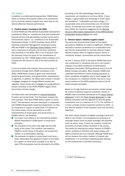### 3.b. Impact

In addition to a better-performing portfolio, PGGM Rates seeks to enhance the positive impact of its investments and to minimize adverse impacts even when they do not directly affect the financial performance.

### 1. Positive impact: investing in the SDGs

In 2016 PGGM and APG defined Sustainable Development Investments (SDIs) as "investments that yield market-rate financial returns while generating a positive social and/or environmental impact" (i.e. contribute to the Sustainable Development Goals). In 2020 Australian Super, British Colombia Investment Management Corporation joined APG and PGGM in the [SDI-Asset Owner Platform](https://www.sdi-aop.org/) which owns a taxonomy of products and services (solutions) that contribute to the SDGs. With a set of decision rules the taxonomy forms the basis for the classification of investments as 'SDI'. PGGM largest client's ambition is to increase the SDI volume to 20% of the total portfolio by 2025.

In low-risk interest rate markets, there are two types of instruments through which PGGM contributes to the SDGs. PGGM Rates invests in green and social bonds issued by governments, local governments, supranational or agencies. In addition, the Rates team invests in climate mortgages designed for energy-efficient houses and upgrades. Green bonds and mortgages for energy-efficient houses contribute to the PFZW (PGGM's largest client) focus theme climate change.

The Rates team has developed an [internal framework](https://www.pggm.nl/media/4dobtksf/pggm-fixed-income-green-and-social-bond-framework.pdf) for green and social bonds. This framework answers the main question 'How does PGGM define a green or social bond?' The framework has been developed in cooperation with PGGM's Responsible Investment department, so that an investment in a green or social bond, if it adheres to the criteria below, can be earmarked as an SDI. Characteristics of proper green and social bonds, in PGGM's opinion, are threefold:

- $\blacksquare$  The issuer must adhere to the International Capital Market Association's (ICMA) green or social bond principles.
- $\blacksquare$  The proceeds of the bond must align with the ESG policy of the issuer. This condition was added by PGGM to avoid misuse of the green and social bond market, or so-called green washing.
- The proceeds of a green or social bond must have a clear, measurable and significant impact on the SDGs. For a green or social bond to qualify as an SDI, at least 75% of proceeds must be allocated to the SDGs.

According to the SDI methodology, interest rate investments can contribute to six focus SDGs: 2 (zero hunger), 3 (good health and well-being), 6 (clean water and sanitation), 7 (affordable and clean energy), 11 (sustainable cities and communities) and 13 (climate action). To estimate and monitor the impact on these focus SDGs, the indicators suggested by the [Working](https://www.dnb.nl/en/green-economy/sustainable-finance-platform/sdg-impact-assessment-working-group/)  [Group on SDG impact measurement of the DNB-facilitated](https://www.dnb.nl/en/green-economy/sustainable-finance-platform/sdg-impact-assessment-working-group/)  [Sustainable Finance Platform](https://www.dnb.nl/en/green-economy/sustainable-finance-platform/sdg-impact-assessment-working-group/) are used.

### 2. Adverse impact: minimise negative impact

The social and environmental impact of the capital entrusted to PGGM by its clients is significant. PGGM can stimulate a positive contribution to a sustainable world and has the responsibility to minimise adverse impact. Adverse impacts refers to negative impacts (harm) to individuals, workers, communities and the environment.

As from 1 January 2022 at the latest, PGGM shall avoid new investments in companies that are in very severe violation of the OECD Guidelines for Multinational Enterprises (hereinafter OECD guidelines) and/or the UN Global Compact principles. When feasible, PGGM shall undertake best efforts to divest existing exposures to these companies all together and/or shall engage with the companies, or a selection thereof, that are in (very) severe violation of the OECD guidelines and/or the UN Global Compact principles.

Based on its high likelihood and severity, climate change as a driver of adverse impact its prioritized. Clients of PGGM's have committed themselves to the [Dutch Climate](https://www.klimaatakkoord.nl/documenten/publicaties/2019/06/28/national-climate-agreement-the-netherlands) [agreement](https://www.klimaatakkoord.nl/documenten/publicaties/2019/06/28/national-climate-agreement-the-netherlands)<sup>2</sup> and to the [Paris Climate Agreement](https://unfccc.int/sites/default/files/english_paris_agreement.pdf) to align policies consistent with the objective to limit the global temperature rise to a maximum of 1.5 °C. The ambition is to have a climate neutral investment portfolio by 2050 - in line with the ambition of the European Union and the Paris objectives.

The direct carbon footprint of eligible sovereign bonds and SSAs is very limited. It encompasses the emissions of sovereign assets (such as public buildings) and activities (such as police, army). It does not, however, include the emissions of private entities domiciled in the country. The priority for reducing the carbon footprint of PGGM's clients' portfolios is therefore with asset classes with higher emissions per euro invested. Although PGGM does not yet measure the carbon footprint of interest rate investments, it is committed to gathering data allowing for the measurement of portfolio emissions.

2 In Dutch "Klimaatakkoord"